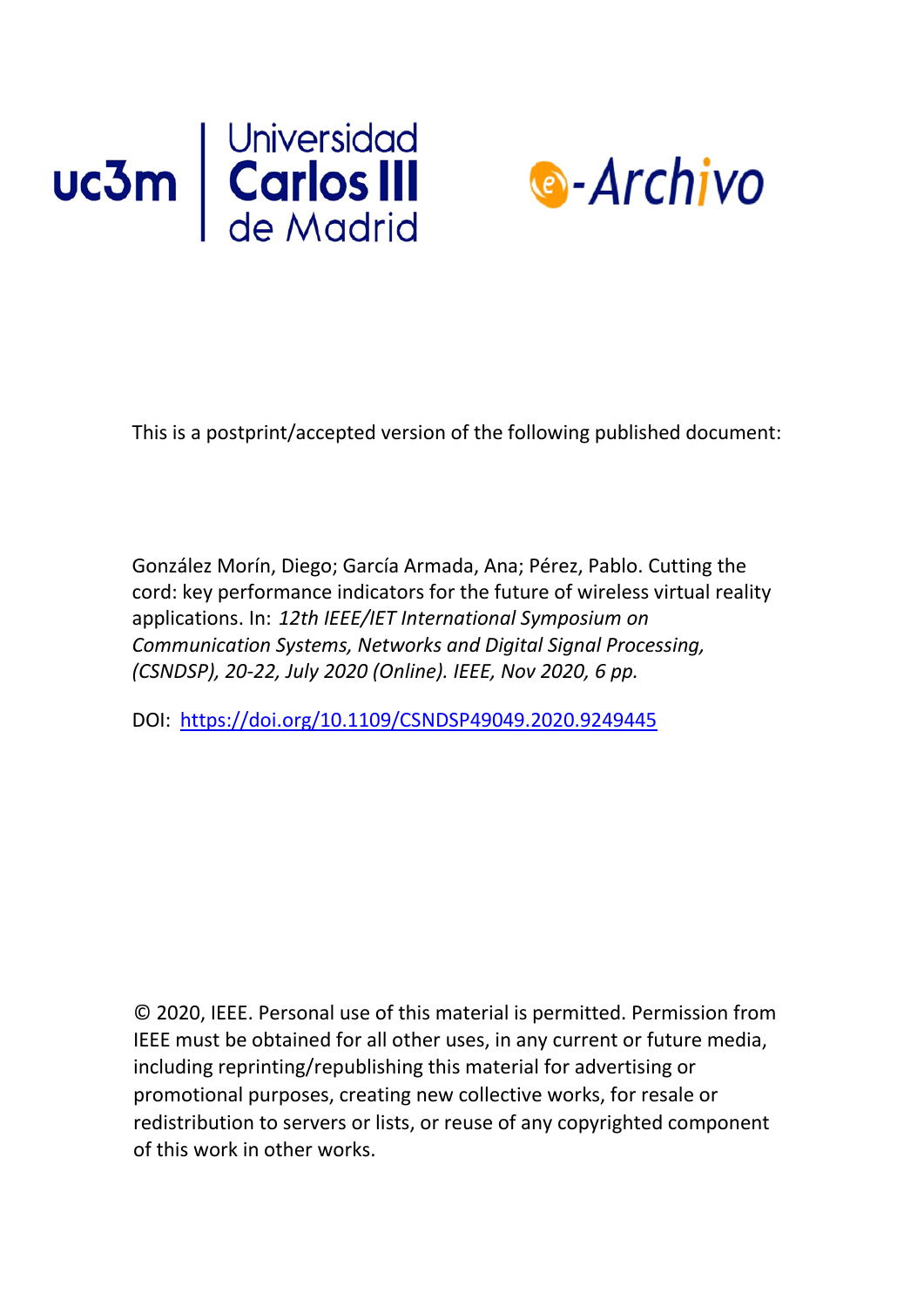



This is a postprint/accepted version of the following published document:

González Morín, Diego; García Armada, Ana; Pérez, Pablo. Cutting the cord: key performance indicators for the future of wireless virtual reality applications. In: *12th IEEE/IET International Symposium on Communication Systems, Networks and Digital Signal Processing, (CSNDSP), 20-22, July 2020 (Online). IEEE, Nov 2020, 6 pp.*

DOI: <https://doi.org/10.1109/CSNDSP49049.2020.9249445>

© 2020, IEEE. Personal use of this material is permitted. Permission from IEEE must be obtained for all other uses, in any current or future media, including reprinting/republishing this material for advertising or promotional purposes, creating new collective works, for resale or redistribution to servers or lists, or reuse of any copyrighted component of this work in [other works.](https://creativecommons.org/licenses/by-nc-nd/4.0/)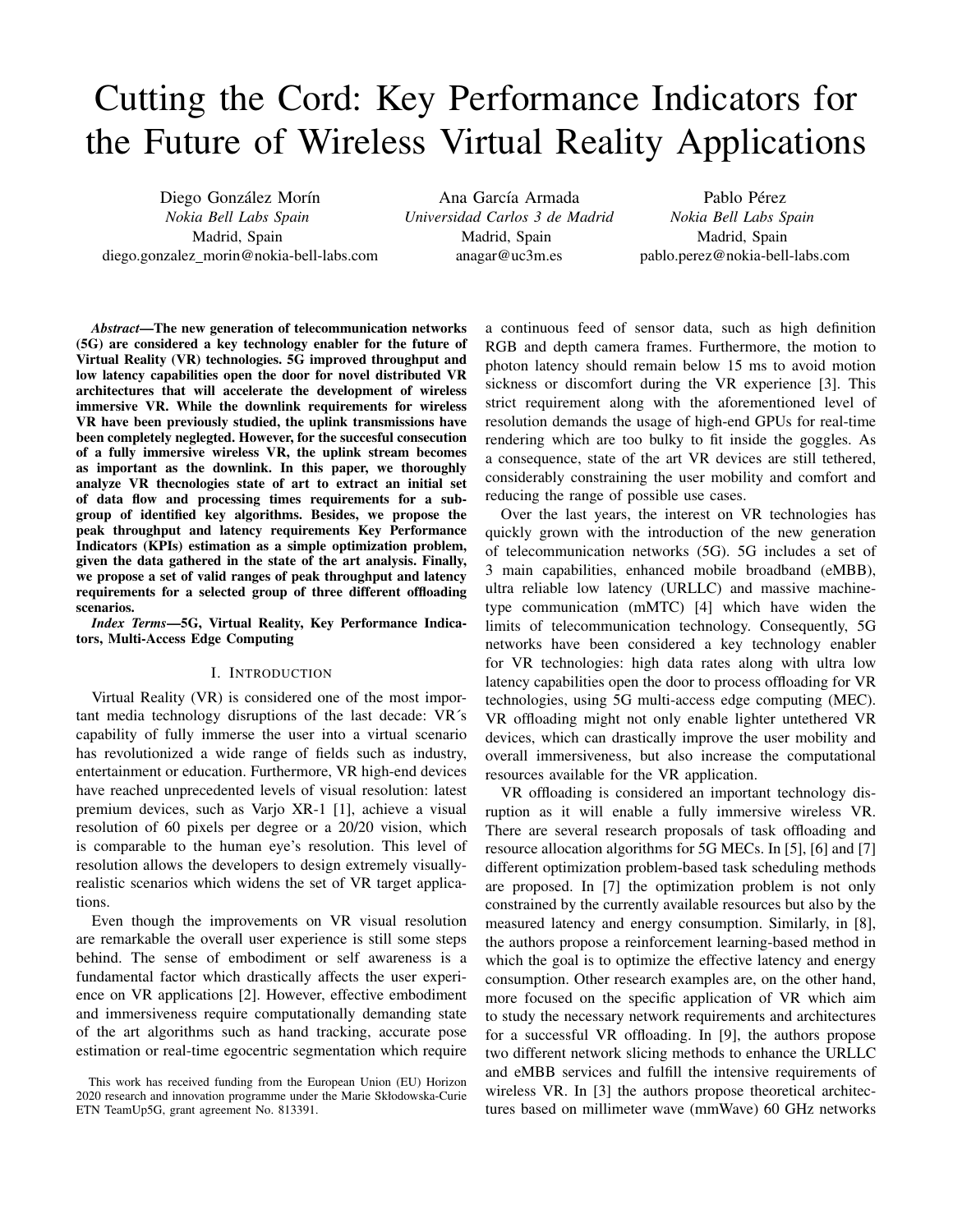# Cutting the Cord: Key Performance Indicators for the Future of Wireless Virtual Reality Applications

Diego González Morín *Nokia Bell Labs Spain* Madrid, Spain diego.gonzalez morin@nokia-bell-labs.com

Ana García Armada *Universidad Carlos 3 de Madrid* Madrid, Spain anagar@uc3m.es

Pablo Pérez *Nokia Bell Labs Spain* Madrid, Spain pablo.perez@nokia-bell-labs.com

*Abstract*—The new generation of telecommunication networks (5G) are considered a key technology enabler for the future of Virtual Reality (VR) technologies. 5G improved throughput and low latency capabilities open the door for novel distributed VR architectures that will accelerate the development of wireless immersive VR. While the downlink requirements for wireless VR have been previously studied, the uplink transmissions have been completely neglegted. However, for the succesful consecution of a fully immersive wireless VR, the uplink stream becomes as important as the downlink. In this paper, we thoroughly analyze VR thecnologies state of art to extract an initial set of data flow and processing times requirements for a subgroup of identified key algorithms. Besides, we propose the peak throughput and latency requirements Key Performance Indicators (KPIs) estimation as a simple optimization problem, given the data gathered in the state of the art analysis. Finally, we propose a set of valid ranges of peak throughput and latency requirements for a selected group of three different offloading scenarios.

*Index Terms*—5G, Virtual Reality, Key Performance Indicators, Multi-Access Edge Computing

#### I. INTRODUCTION

Virtual Reality (VR) is considered one of the most important media technology disruptions of the last decade: VR´s capability of fully immerse the user into a virtual scenario has revolutionized a wide range of fields such as industry, entertainment or education. Furthermore, VR high-end devices have reached unprecedented levels of visual resolution: latest premium devices, such as Varjo XR-1 [1], achieve a visual resolution of 60 pixels per degree or a 20/20 vision, which is comparable to the human eye's resolution. This level of resolution allows the developers to design extremely visuallyrealistic scenarios which widens the set of VR target applications.

Even though the improvements on VR visual resolution are remarkable the overall user experience is still some steps behind. The sense of embodiment or self awareness is a fundamental factor which drastically affects the user experience on VR applications [2]. However, effective embodiment and immersiveness require computationally demanding state of the art algorithms such as hand tracking, accurate pose estimation or real-time egocentric segmentation which require a continuous feed of sensor data, such as high definition RGB and depth camera frames. Furthermore, the motion to photon latency should remain below 15 ms to avoid motion sickness or discomfort during the VR experience [3]. This strict requirement along with the aforementioned level of resolution demands the usage of high-end GPUs for real-time rendering which are too bulky to fit inside the goggles. As a consequence, state of the art VR devices are still tethered, considerably constraining the user mobility and comfort and reducing the range of possible use cases.

Over the last years, the interest on VR technologies has quickly grown with the introduction of the new generation of telecommunication networks (5G). 5G includes a set of 3 main capabilities, enhanced mobile broadband (eMBB), ultra reliable low latency (URLLC) and massive machinetype communication (mMTC) [4] which have widen the limits of telecommunication technology. Consequently, 5G networks have been considered a key technology enabler for VR technologies: high data rates along with ultra low latency capabilities open the door to process offloading for VR technologies, using 5G multi-access edge computing (MEC). VR offloading might not only enable lighter untethered VR devices, which can drastically improve the user mobility and overall immersiveness, but also increase the computational resources available for the VR application.

VR offloading is considered an important technology disruption as it will enable a fully immersive wireless VR. There are several research proposals of task offloading and resource allocation algorithms for 5G MECs. In [5], [6] and [7] different optimization problem-based task scheduling methods are proposed. In [7] the optimization problem is not only constrained by the currently available resources but also by the measured latency and energy consumption. Similarly, in [8], the authors propose a reinforcement learning-based method in which the goal is to optimize the effective latency and energy consumption. Other research examples are, on the other hand, more focused on the specific application of VR which aim to study the necessary network requirements and architectures for a successful VR offloading. In [9], the authors propose two different network slicing methods to enhance the URLLC and eMBB services and fulfill the intensive requirements of wireless VR. In [3] the authors propose theoretical architectures based on millimeter wave (mmWave) 60 GHz networks

This work has received funding from the European Union (EU) Horizon 2020 research and innovation programme under the Marie Skłodowska-Curie ETN TeamUp5G, grant agreement No. 813391.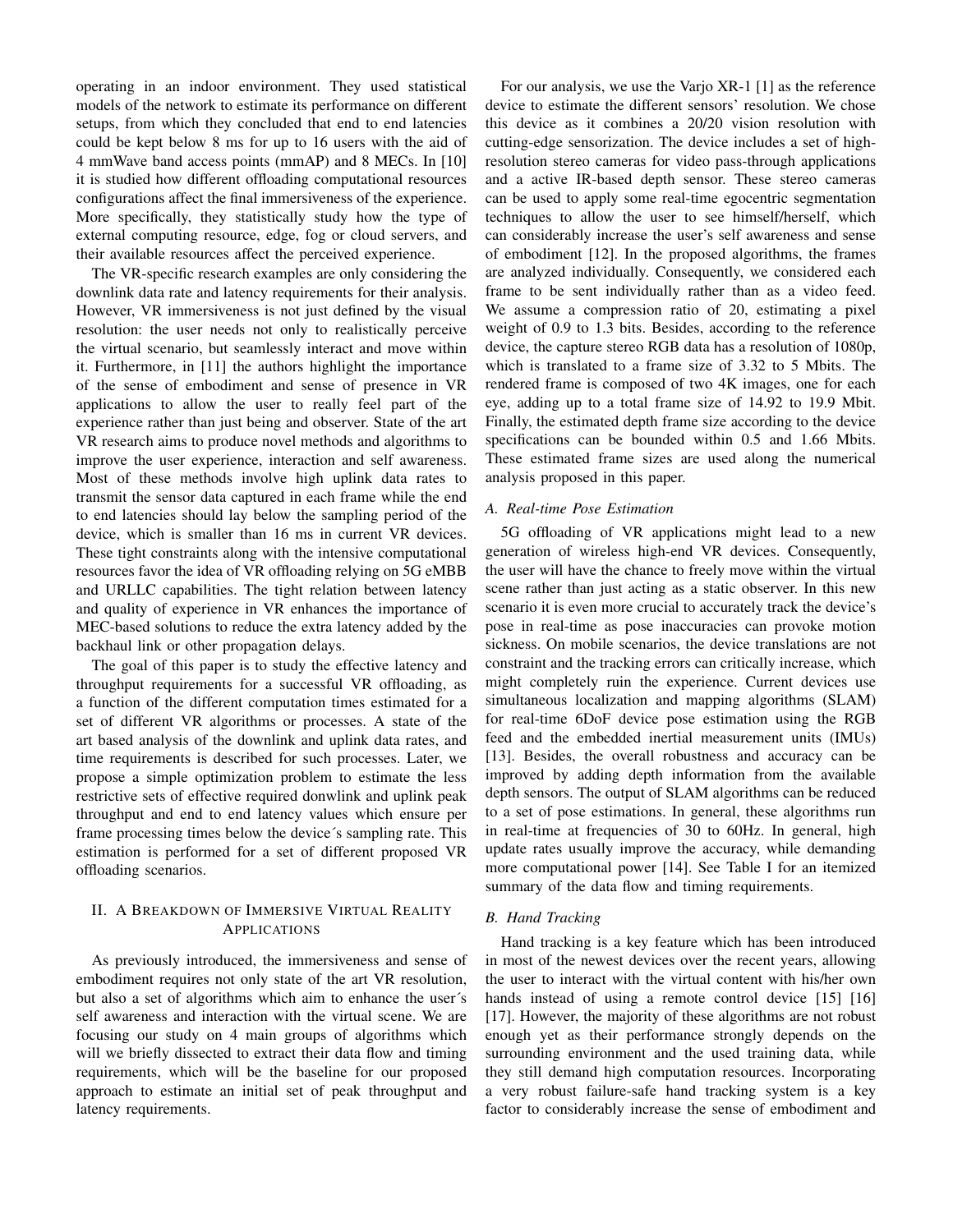operating in an indoor environment. They used statistical models of the network to estimate its performance on different setups, from which they concluded that end to end latencies could be kept below 8 ms for up to 16 users with the aid of 4 mmWave band access points (mmAP) and 8 MECs. In [10] it is studied how different offloading computational resources configurations affect the final immersiveness of the experience. More specifically, they statistically study how the type of external computing resource, edge, fog or cloud servers, and their available resources affect the perceived experience.

The VR-specific research examples are only considering the downlink data rate and latency requirements for their analysis. However, VR immersiveness is not just defined by the visual resolution: the user needs not only to realistically perceive the virtual scenario, but seamlessly interact and move within it. Furthermore, in [11] the authors highlight the importance of the sense of embodiment and sense of presence in VR applications to allow the user to really feel part of the experience rather than just being and observer. State of the art VR research aims to produce novel methods and algorithms to improve the user experience, interaction and self awareness. Most of these methods involve high uplink data rates to transmit the sensor data captured in each frame while the end to end latencies should lay below the sampling period of the device, which is smaller than 16 ms in current VR devices. These tight constraints along with the intensive computational resources favor the idea of VR offloading relying on 5G eMBB and URLLC capabilities. The tight relation between latency and quality of experience in VR enhances the importance of MEC-based solutions to reduce the extra latency added by the backhaul link or other propagation delays.

The goal of this paper is to study the effective latency and throughput requirements for a successful VR offloading, as a function of the different computation times estimated for a set of different VR algorithms or processes. A state of the art based analysis of the downlink and uplink data rates, and time requirements is described for such processes. Later, we propose a simple optimization problem to estimate the less restrictive sets of effective required donwlink and uplink peak throughput and end to end latency values which ensure per frame processing times below the device´s sampling rate. This estimation is performed for a set of different proposed VR offloading scenarios.

# II. A BREAKDOWN OF IMMERSIVE VIRTUAL REALITY APPLICATIONS

As previously introduced, the immersiveness and sense of embodiment requires not only state of the art VR resolution, but also a set of algorithms which aim to enhance the user´s self awareness and interaction with the virtual scene. We are focusing our study on 4 main groups of algorithms which will we briefly dissected to extract their data flow and timing requirements, which will be the baseline for our proposed approach to estimate an initial set of peak throughput and latency requirements.

For our analysis, we use the Varjo XR-1 [1] as the reference device to estimate the different sensors' resolution. We chose this device as it combines a 20/20 vision resolution with cutting-edge sensorization. The device includes a set of highresolution stereo cameras for video pass-through applications and a active IR-based depth sensor. These stereo cameras can be used to apply some real-time egocentric segmentation techniques to allow the user to see himself/herself, which can considerably increase the user's self awareness and sense of embodiment [12]. In the proposed algorithms, the frames are analyzed individually. Consequently, we considered each frame to be sent individually rather than as a video feed. We assume a compression ratio of 20, estimating a pixel weight of 0.9 to 1.3 bits. Besides, according to the reference device, the capture stereo RGB data has a resolution of 1080p, which is translated to a frame size of 3.32 to 5 Mbits. The rendered frame is composed of two 4K images, one for each eye, adding up to a total frame size of 14.92 to 19.9 Mbit. Finally, the estimated depth frame size according to the device specifications can be bounded within 0.5 and 1.66 Mbits. These estimated frame sizes are used along the numerical analysis proposed in this paper.

#### *A. Real-time Pose Estimation*

5G offloading of VR applications might lead to a new generation of wireless high-end VR devices. Consequently, the user will have the chance to freely move within the virtual scene rather than just acting as a static observer. In this new scenario it is even more crucial to accurately track the device's pose in real-time as pose inaccuracies can provoke motion sickness. On mobile scenarios, the device translations are not constraint and the tracking errors can critically increase, which might completely ruin the experience. Current devices use simultaneous localization and mapping algorithms (SLAM) for real-time 6DoF device pose estimation using the RGB feed and the embedded inertial measurement units (IMUs) [13]. Besides, the overall robustness and accuracy can be improved by adding depth information from the available depth sensors. The output of SLAM algorithms can be reduced to a set of pose estimations. In general, these algorithms run in real-time at frequencies of 30 to 60Hz. In general, high update rates usually improve the accuracy, while demanding more computational power [14]. See Table I for an itemized summary of the data flow and timing requirements.

#### *B. Hand Tracking*

Hand tracking is a key feature which has been introduced in most of the newest devices over the recent years, allowing the user to interact with the virtual content with his/her own hands instead of using a remote control device [15] [16] [17]. However, the majority of these algorithms are not robust enough yet as their performance strongly depends on the surrounding environment and the used training data, while they still demand high computation resources. Incorporating a very robust failure-safe hand tracking system is a key factor to considerably increase the sense of embodiment and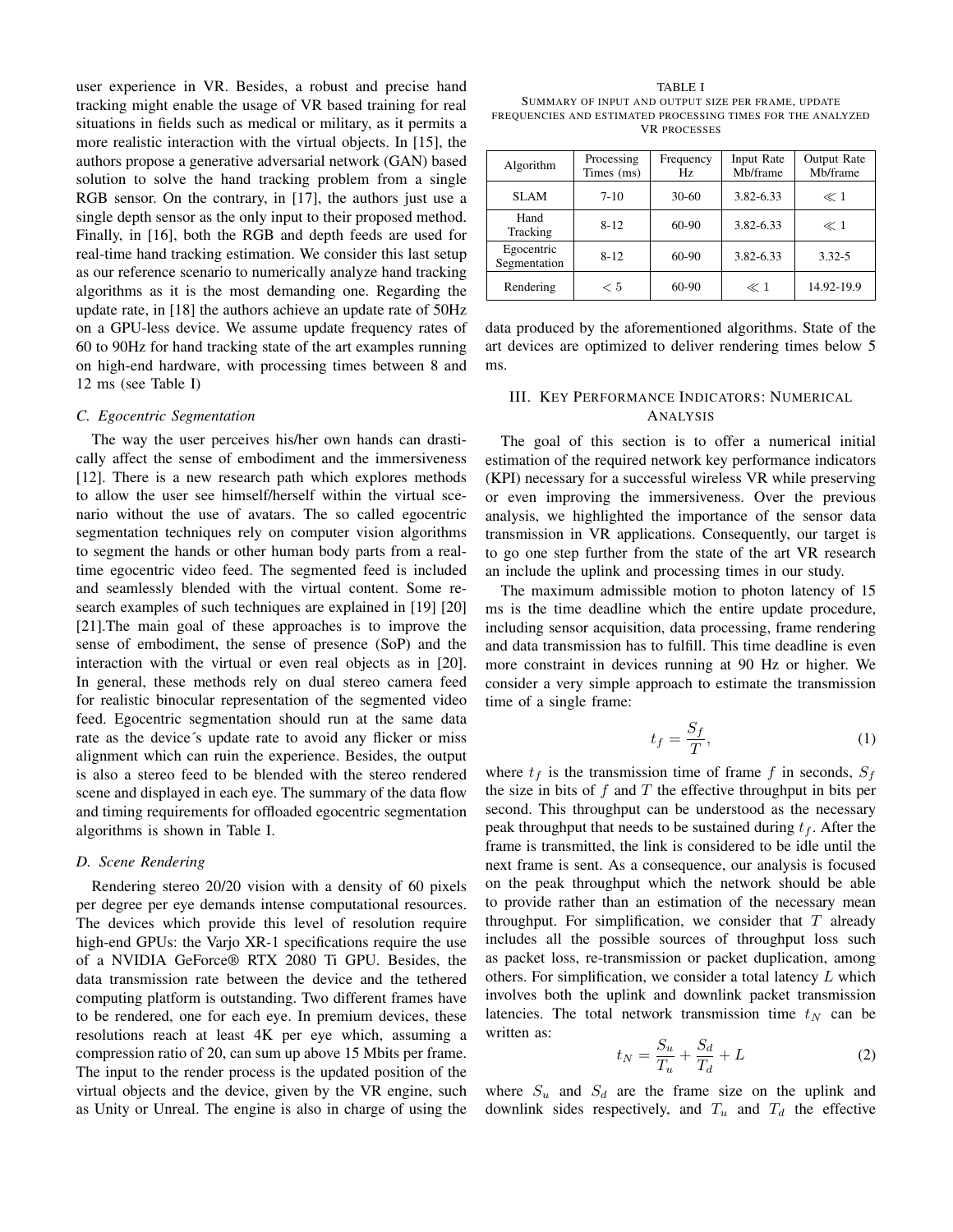user experience in VR. Besides, a robust and precise hand tracking might enable the usage of VR based training for real situations in fields such as medical or military, as it permits a more realistic interaction with the virtual objects. In [15], the authors propose a generative adversarial network (GAN) based solution to solve the hand tracking problem from a single RGB sensor. On the contrary, in [17], the authors just use a single depth sensor as the only input to their proposed method. Finally, in [16], both the RGB and depth feeds are used for real-time hand tracking estimation. We consider this last setup as our reference scenario to numerically analyze hand tracking algorithms as it is the most demanding one. Regarding the update rate, in [18] the authors achieve an update rate of 50Hz on a GPU-less device. We assume update frequency rates of 60 to 90Hz for hand tracking state of the art examples running on high-end hardware, with processing times between 8 and 12 ms (see Table I)

#### *C. Egocentric Segmentation*

The way the user perceives his/her own hands can drastically affect the sense of embodiment and the immersiveness [12]. There is a new research path which explores methods to allow the user see himself/herself within the virtual scenario without the use of avatars. The so called egocentric segmentation techniques rely on computer vision algorithms to segment the hands or other human body parts from a realtime egocentric video feed. The segmented feed is included and seamlessly blended with the virtual content. Some research examples of such techniques are explained in [19] [20] [21].The main goal of these approaches is to improve the sense of embodiment, the sense of presence (SoP) and the interaction with the virtual or even real objects as in [20]. In general, these methods rely on dual stereo camera feed for realistic binocular representation of the segmented video feed. Egocentric segmentation should run at the same data rate as the device´s update rate to avoid any flicker or miss alignment which can ruin the experience. Besides, the output is also a stereo feed to be blended with the stereo rendered scene and displayed in each eye. The summary of the data flow and timing requirements for offloaded egocentric segmentation algorithms is shown in Table I.

### *D. Scene Rendering*

Rendering stereo 20/20 vision with a density of 60 pixels per degree per eye demands intense computational resources. The devices which provide this level of resolution require high-end GPUs: the Varjo XR-1 specifications require the use of a NVIDIA GeForce® RTX 2080 Ti GPU. Besides, the data transmission rate between the device and the tethered computing platform is outstanding. Two different frames have to be rendered, one for each eye. In premium devices, these resolutions reach at least 4K per eye which, assuming a compression ratio of 20, can sum up above 15 Mbits per frame. The input to the render process is the updated position of the virtual objects and the device, given by the VR engine, such as Unity or Unreal. The engine is also in charge of using the

TABLE I SUMMARY OF INPUT AND OUTPUT SIZE PER FRAME, UPDATE FREQUENCIES AND ESTIMATED PROCESSING TIMES FOR THE ANALYZED VR PROCESSES

| Algorithm                  | Processing<br>Times (ms) | Frequency<br>Hz. | Input Rate<br>Mb/frame | Output Rate<br>Mb/frame |
|----------------------------|--------------------------|------------------|------------------------|-------------------------|
| <b>SLAM</b>                | $7-10$                   | $30 - 60$        | 3.82-6.33              | $\ll 1$                 |
| Hand<br>Tracking           | $8 - 12$                 | 60-90            | 3.82-6.33              | $\ll 1$                 |
| Egocentric<br>Segmentation | $8 - 12$                 | 60-90            | 3.82-6.33              | $3.32 - 5$              |
| Rendering                  | < 5                      | 60-90            | $\ll 1$                | 14.92-19.9              |

data produced by the aforementioned algorithms. State of the art devices are optimized to deliver rendering times below 5 ms.

#### III. KEY PERFORMANCE INDICATORS: NUMERICAL **ANALYSIS**

The goal of this section is to offer a numerical initial estimation of the required network key performance indicators (KPI) necessary for a successful wireless VR while preserving or even improving the immersiveness. Over the previous analysis, we highlighted the importance of the sensor data transmission in VR applications. Consequently, our target is to go one step further from the state of the art VR research an include the uplink and processing times in our study.

The maximum admissible motion to photon latency of 15 ms is the time deadline which the entire update procedure, including sensor acquisition, data processing, frame rendering and data transmission has to fulfill. This time deadline is even more constraint in devices running at 90 Hz or higher. We consider a very simple approach to estimate the transmission time of a single frame:

$$
t_f = \frac{S_f}{T},\tag{1}
$$

where  $t_f$  is the transmission time of frame f in seconds,  $S_f$ the size in bits of  $f$  and  $T$  the effective throughput in bits per second. This throughput can be understood as the necessary peak throughput that needs to be sustained during  $t_f$ . After the frame is transmitted, the link is considered to be idle until the next frame is sent. As a consequence, our analysis is focused on the peak throughput which the network should be able to provide rather than an estimation of the necessary mean throughput. For simplification, we consider that  $T$  already includes all the possible sources of throughput loss such as packet loss, re-transmission or packet duplication, among others. For simplification, we consider a total latency  $L$  which involves both the uplink and downlink packet transmission latencies. The total network transmission time  $t_N$  can be written as:

$$
t_N = \frac{S_u}{T_u} + \frac{S_d}{T_d} + L \tag{2}
$$

where  $S_u$  and  $S_d$  are the frame size on the uplink and downlink sides respectively, and  $T_u$  and  $T_d$  the effective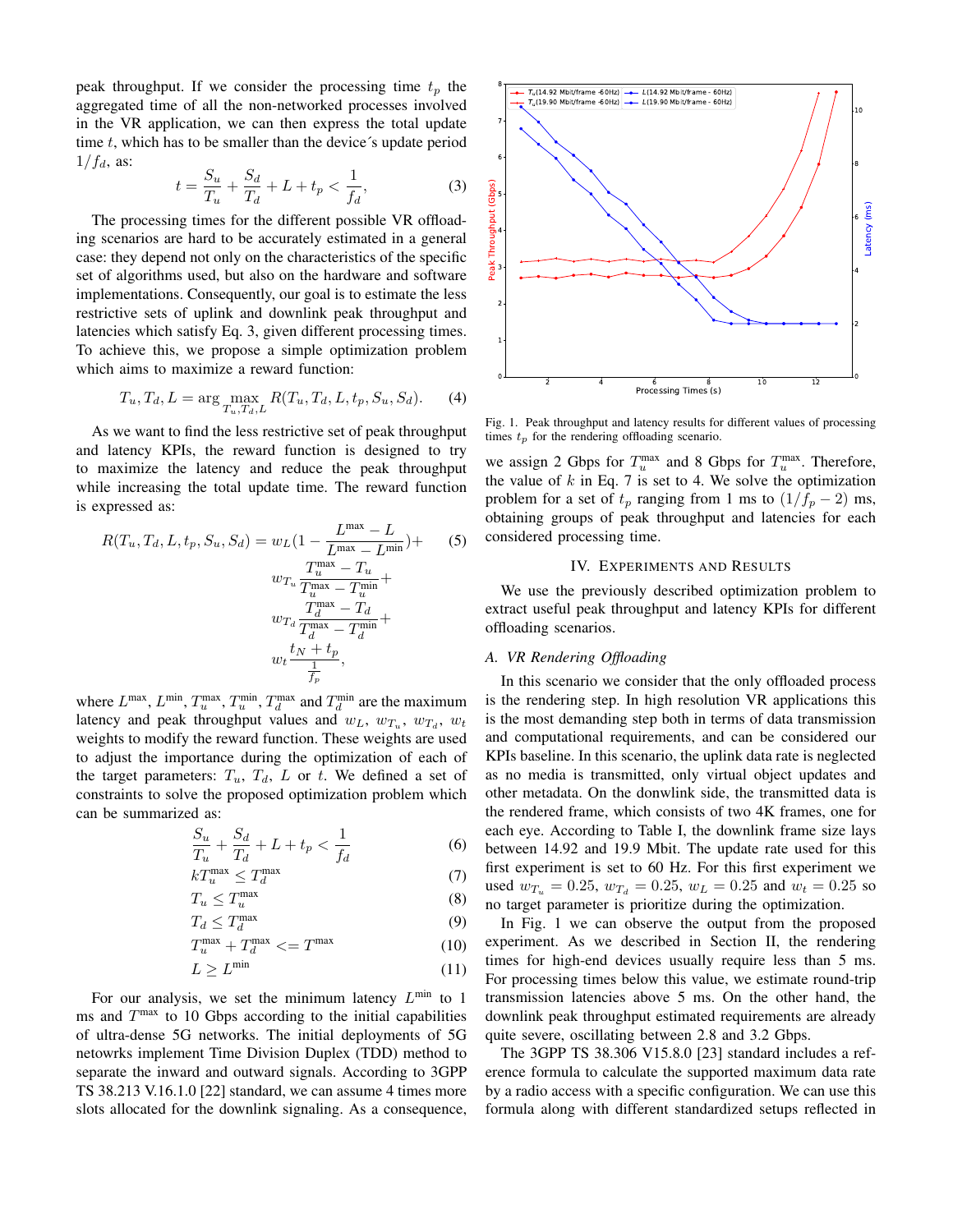peak throughput. If we consider the processing time  $t_p$  the aggregated time of all the non-networked processes involved in the VR application, we can then express the total update time  $t$ , which has to be smaller than the device's update period  $1/f_d$ , as:

$$
t = \frac{S_u}{T_u} + \frac{S_d}{T_d} + L + t_p < \frac{1}{f_d},\tag{3}
$$

The processing times for the different possible VR offloading scenarios are hard to be accurately estimated in a general case: they depend not only on the characteristics of the specific set of algorithms used, but also on the hardware and software implementations. Consequently, our goal is to estimate the less restrictive sets of uplink and downlink peak throughput and latencies which satisfy Eq. 3, given different processing times. To achieve this, we propose a simple optimization problem which aims to maximize a reward function:

$$
T_u, T_d, L = \arg\max_{T_u, T_d, L} R(T_u, T_d, L, t_p, S_u, S_d).
$$
 (4)

As we want to find the less restrictive set of peak throughput and latency KPIs, the reward function is designed to try to maximize the latency and reduce the peak throughput while increasing the total update time. The reward function is expressed as:

$$
R(T_u, T_d, L, t_p, S_u, S_d) = w_L \left(1 - \frac{L^{\max} - L}{L^{\max} - L^{\min}}\right) + \qquad (5)
$$

$$
w_{T_u} \frac{T_u^{\max} - T_u}{T_u^{\max} - T_u^{\min}} + \frac{T_d^{\max} - T_d}{T_d^{\max} - T_d^{\min}} + \frac{t_d + t_p}{T_p},
$$

where  $L^{\max}$ ,  $L^{\min}$ ,  $T_u^{\max}$ ,  $T_u^{\min}$ ,  $T_d^{\max}$  and  $T_d^{\min}$  are the maximum latency and peak throughput values and  $w_L$ ,  $w_{T_u}$ ,  $w_{T_d}$ ,  $w_t$ weights to modify the reward function. These weights are used to adjust the importance during the optimization of each of the target parameters:  $T_u$ ,  $T_d$ ,  $L$  or  $t$ . We defined a set of constraints to solve the proposed optimization problem which can be summarized as:

$$
\frac{S_u}{T_u} + \frac{S_d}{T_d} + L + t_p < \frac{1}{f_d} \tag{6}
$$

$$
kT_u^{\max} \le T_d^{\max} \tag{7}
$$

$$
T_u \le T_u^{\max} \tag{8}
$$

$$
T_d \le T_d^{\max} \tag{9}
$$

$$
T_u^{\max} + T_d^{\max} \le T_{\max} \tag{10}
$$

$$
L \ge L^{\min} \tag{11}
$$

For our analysis, we set the minimum latency  $L^{\min}$  to 1 ms and  $T^{\text{max}}$  to 10 Gbps according to the initial capabilities of ultra-dense 5G networks. The initial deployments of 5G netowrks implement Time Division Duplex (TDD) method to separate the inward and outward signals. According to 3GPP TS 38.213 V.16.1.0 [22] standard, we can assume 4 times more slots allocated for the downlink signaling. As a consequence,



Fig. 1. Peak throughput and latency results for different values of processing times  $t_p$  for the rendering offloading scenario.

we assign 2 Gbps for  $T_u^{\max}$  and 8 Gbps for  $T_u^{\max}$ . Therefore, the value of  $k$  in Eq. 7 is set to 4. We solve the optimization problem for a set of  $t_p$  ranging from 1 ms to  $(1/f_p - 2)$  ms, obtaining groups of peak throughput and latencies for each considered processing time.

#### IV. EXPERIMENTS AND RESULTS

We use the previously described optimization problem to extract useful peak throughput and latency KPIs for different offloading scenarios.

#### *A. VR Rendering Offloading*

In this scenario we consider that the only offloaded process is the rendering step. In high resolution VR applications this is the most demanding step both in terms of data transmission and computational requirements, and can be considered our KPIs baseline. In this scenario, the uplink data rate is neglected as no media is transmitted, only virtual object updates and other metadata. On the donwlink side, the transmitted data is the rendered frame, which consists of two 4K frames, one for each eye. According to Table I, the downlink frame size lays between 14.92 and 19.9 Mbit. The update rate used for this first experiment is set to 60 Hz. For this first experiment we used  $w_{T_u} = 0.25$ ,  $w_{T_d} = 0.25$ ,  $w_L = 0.25$  and  $w_t = 0.25$  so no target parameter is prioritize during the optimization.

In Fig. 1 we can observe the output from the proposed experiment. As we described in Section II, the rendering times for high-end devices usually require less than 5 ms. For processing times below this value, we estimate round-trip transmission latencies above 5 ms. On the other hand, the downlink peak throughput estimated requirements are already quite severe, oscillating between 2.8 and 3.2 Gbps.

The 3GPP TS 38.306 V15.8.0 [23] standard includes a reference formula to calculate the supported maximum data rate by a radio access with a specific configuration. We can use this formula along with different standardized setups reflected in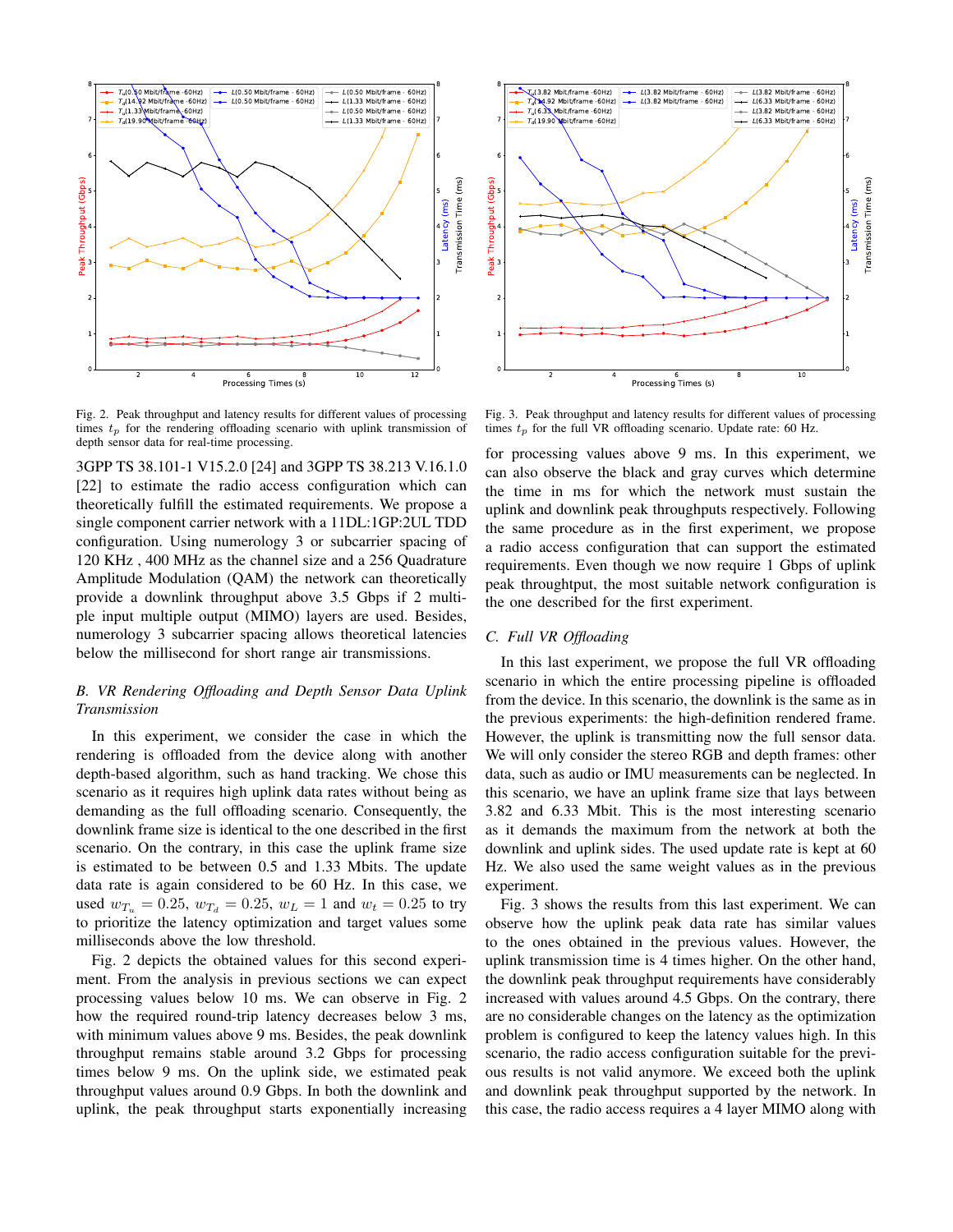

Fig. 2. Peak throughput and latency results for different values of processing times  $t_p$  for the rendering offloading scenario with uplink transmission of depth sensor data for real-time processing.

3GPP TS 38.101-1 V15.2.0 [24] and 3GPP TS 38.213 V.16.1.0 [22] to estimate the radio access configuration which can theoretically fulfill the estimated requirements. We propose a single component carrier network with a 11DL:1GP:2UL TDD configuration. Using numerology 3 or subcarrier spacing of 120 KHz , 400 MHz as the channel size and a 256 Quadrature Amplitude Modulation (QAM) the network can theoretically provide a downlink throughput above 3.5 Gbps if 2 multiple input multiple output (MIMO) layers are used. Besides, numerology 3 subcarrier spacing allows theoretical latencies below the millisecond for short range air transmissions.

# *B. VR Rendering Offloading and Depth Sensor Data Uplink Transmission*

In this experiment, we consider the case in which the rendering is offloaded from the device along with another depth-based algorithm, such as hand tracking. We chose this scenario as it requires high uplink data rates without being as demanding as the full offloading scenario. Consequently, the downlink frame size is identical to the one described in the first scenario. On the contrary, in this case the uplink frame size is estimated to be between 0.5 and 1.33 Mbits. The update data rate is again considered to be 60 Hz. In this case, we used  $w_{T_u} = 0.25$ ,  $w_{T_d} = 0.25$ ,  $w_L = 1$  and  $w_t = 0.25$  to try to prioritize the latency optimization and target values some milliseconds above the low threshold.

Fig. 2 depicts the obtained values for this second experiment. From the analysis in previous sections we can expect processing values below 10 ms. We can observe in Fig. 2 how the required round-trip latency decreases below 3 ms, with minimum values above 9 ms. Besides, the peak downlink throughput remains stable around 3.2 Gbps for processing times below 9 ms. On the uplink side, we estimated peak throughput values around 0.9 Gbps. In both the downlink and uplink, the peak throughput starts exponentially increasing



Fig. 3. Peak throughput and latency results for different values of processing times  $t_p$  for the full VR offloading scenario. Update rate: 60 Hz.

for processing values above 9 ms. In this experiment, we can also observe the black and gray curves which determine the time in ms for which the network must sustain the uplink and downlink peak throughputs respectively. Following the same procedure as in the first experiment, we propose a radio access configuration that can support the estimated requirements. Even though we now require 1 Gbps of uplink peak throughtput, the most suitable network configuration is the one described for the first experiment.

#### *C. Full VR Offloading*

In this last experiment, we propose the full VR offloading scenario in which the entire processing pipeline is offloaded from the device. In this scenario, the downlink is the same as in the previous experiments: the high-definition rendered frame. However, the uplink is transmitting now the full sensor data. We will only consider the stereo RGB and depth frames: other data, such as audio or IMU measurements can be neglected. In this scenario, we have an uplink frame size that lays between 3.82 and 6.33 Mbit. This is the most interesting scenario as it demands the maximum from the network at both the downlink and uplink sides. The used update rate is kept at 60 Hz. We also used the same weight values as in the previous experiment.

Fig. 3 shows the results from this last experiment. We can observe how the uplink peak data rate has similar values to the ones obtained in the previous values. However, the uplink transmission time is 4 times higher. On the other hand, the downlink peak throughput requirements have considerably increased with values around 4.5 Gbps. On the contrary, there are no considerable changes on the latency as the optimization problem is configured to keep the latency values high. In this scenario, the radio access configuration suitable for the previous results is not valid anymore. We exceed both the uplink and downlink peak throughput supported by the network. In this case, the radio access requires a 4 layer MIMO along with